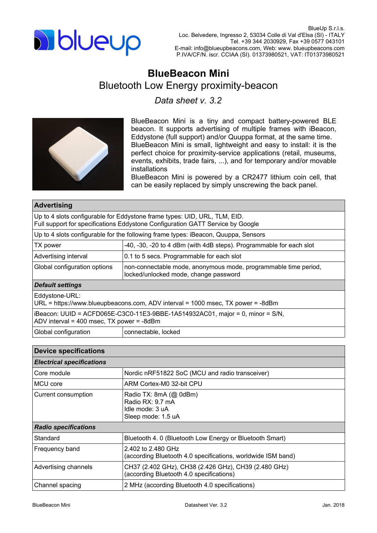

## **BlueBeacon Mini** Bluetooth Low Energy proximity-beacon

*Data sheet v. 3.2*



BlueBeacon Mini is a tiny and compact battery-powered BLE beacon. It supports advertising of multiple frames with iBeacon, Eddystone (full support) and/or Quuppa format, at the same time. BlueBeacon Mini is small, lightweight and easy to install: it is the perfect choice for proximity-service applications (retail, museums, events, exhibits, trade fairs, ...), and for temporary and/or movable installations

BlueBeacon Mini is powered by a CR2477 lithium coin cell, that can be easily replaced by simply unscrewing the back panel.

| <b>Advertising</b>                                                                                                                                          |                                                                                                          |  |  |  |  |  |
|-------------------------------------------------------------------------------------------------------------------------------------------------------------|----------------------------------------------------------------------------------------------------------|--|--|--|--|--|
| Up to 4 slots configurable for Eddystone frame types: UID, URL, TLM, EID.<br>Full support for specifications Eddystone Configuration GATT Service by Google |                                                                                                          |  |  |  |  |  |
| Up to 4 slots configurable for the following frame types: iBeacon, Quuppa, Sensors                                                                          |                                                                                                          |  |  |  |  |  |
| TX power                                                                                                                                                    | -40, -30, -20 to 4 dBm (with 4dB steps). Programmable for each slot                                      |  |  |  |  |  |
| Advertising interval                                                                                                                                        | 0.1 to 5 secs. Programmable for each slot                                                                |  |  |  |  |  |
| Global configuration options                                                                                                                                | non-connectable mode, anonymous mode, programmable time period,<br>locked/unlocked mode, change password |  |  |  |  |  |
| <b>Default settings</b>                                                                                                                                     |                                                                                                          |  |  |  |  |  |
| Eddystone-URL:<br>URL = https://www.blueupbeacons.com, ADV interval = $1000$ msec, TX power = $-8$ dBm                                                      |                                                                                                          |  |  |  |  |  |
| iBeacon: UUID = ACFD065E-C3C0-11E3-9BBE-1A514932AC01, major = 0, minor = S/N,<br>ADV interval = 400 msec, $TX$ power = -8dBm                                |                                                                                                          |  |  |  |  |  |
| Global configuration                                                                                                                                        | connectable, locked                                                                                      |  |  |  |  |  |

| <b>Device specifications</b>     |                                                                                                  |  |  |  |  |
|----------------------------------|--------------------------------------------------------------------------------------------------|--|--|--|--|
| <b>Electrical specifications</b> |                                                                                                  |  |  |  |  |
| Core module                      | Nordic nRF51822 SoC (MCU and radio transceiver)                                                  |  |  |  |  |
| MCU core                         | ARM Cortex-M0 32-bit CPU                                                                         |  |  |  |  |
| Current consumption              | Radio TX: 8mA (@ 0dBm)<br>Radio RX: 9.7 mA<br>Idle mode: 3 uA<br>Sleep mode: 1.5 uA              |  |  |  |  |
| <b>Radio specifications</b>      |                                                                                                  |  |  |  |  |
| Standard                         | Bluetooth 4.0 (Bluetooth Low Energy or Bluetooth Smart)                                          |  |  |  |  |
| Frequency band                   | 2.402 to 2.480 GHz<br>(according Bluetooth 4.0 specifications, worldwide ISM band)               |  |  |  |  |
| Advertising channels             | CH37 (2.402 GHz), CH38 (2.426 GHz), CH39 (2.480 GHz)<br>(according Bluetooth 4.0 specifications) |  |  |  |  |
| Channel spacing                  | 2 MHz (according Bluetooth 4.0 specifications)                                                   |  |  |  |  |